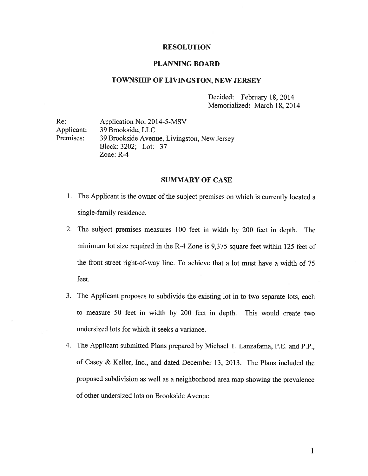#### RESOLUTION

#### PLANNING BOARD

## TOWNSHIP OF LIVINGSTON, NEW JERSEY

Decided: February 18, 2014 Memorialized: March 18, 2014

Re: Application No. 2014-5-MSV Applicant: 39 Brookside, LLC Premises: 39 Brookside Avenue, Livingston, New Jersey Block: 3202; Lot: 37 Zone: R-4

#### SUMMARY OF CASE

- 1. The Applicant is the owner of the subject premises on which is currently located <sup>a</sup> single-family residence.
- 2. The subject premises measures <sup>100</sup> feet in width by <sup>200</sup> feet in depth. The minimum lot size required in the R-4 Zone is 9,375 square feet within 125 feet of the front street right-of-way line. To achieve that <sup>a</sup> lot must have <sup>a</sup> width of 75 feet.
- 3. The Applicant proposes to subdivide the existing lot in to two separate lots, each to measure 50 feet in width by 200 feet in depth. This would create two undersized lots for which it seeks <sup>a</sup> variance.
- 4. The Applicant submitted Plans prepared by Michael T. Lanzafama, P.E. and P.P., of Casey & Keller, Inc., and dated December 13, 2013. The Plans included the propose<sup>d</sup> subdivision as well as <sup>a</sup> neighborhood area map showing the prevalence of other undersized lots on Brookside Avenue.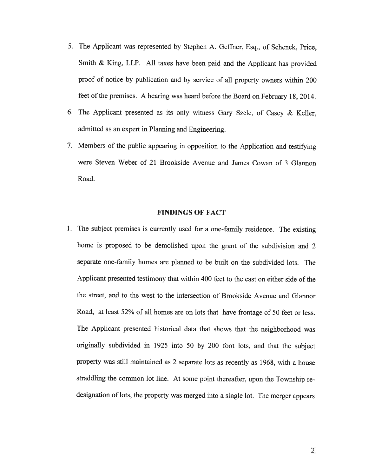- 5. The Applicant was represented by Stephen A. Geffner, Esq., of Schenck, Price, Smith & King, LLP. All taxes have been paid and the Applicant has provided proo<sup>f</sup> of notice by publication and by service of all property owners within <sup>200</sup> feet of the premises. <sup>A</sup> hearing was heard before the Board on February 18, 2014.
- 6. The Applicant presented as its only witness Gary Szelc, of Casey & Keller, admitted as an exper<sup>t</sup> in Planning and Engineering.
- 7. Members of the public appearing in opposition to the Application and testifying were Steven Weber of 21 Brookside Avenue and James Cowan of 3 Glannon Road.

#### FINDINGS OF FACT

1. The subject premises is currently used for <sup>a</sup> one-family residence. The existing home is propose<sup>d</sup> to be demolished upon the gran<sup>t</sup> of the subdivision and <sup>2</sup> separate one-family homes are planned to be built on the subdivided lots. The Applicant presented testimony that within 400 feet to the east on either side of the the street, and to the west to the intersection of Brookside Avenue and Glannor Road, at least 52% of all homes are on lots that have frontage of <sup>50</sup> feet or less. The Applicant presented historical data that shows that the neighborhood was originally subdivided in <sup>1925</sup> into <sup>50</sup> by <sup>200</sup> foot lots, and that the subject property was still maintained as <sup>2</sup> separate lots as recently as 1968, with <sup>a</sup> house straddling the common lot line. At some point thereafter, upon the Township re designation of lots, the property was merge<sup>d</sup> into <sup>a</sup> single lot. The merger appears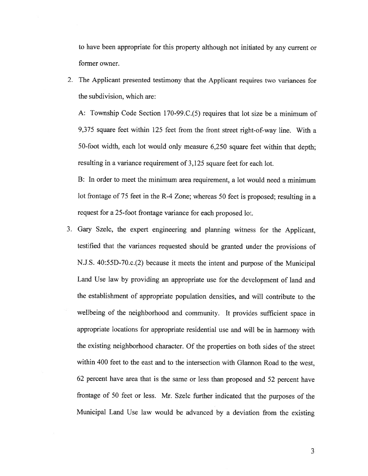to have been appropriate for this property although not initiated by any current or former owner.

2. The Applicant presented testimony that the Applicant requires two variances for the subdivision, which are:

A: Township Code Section 170-99.C.(5) requires that lot size be a minimum of 9,375 square feet within 125 feet from the front street right-of-way line. With <sup>a</sup> 50-foot width, each lot would only measure 6,250 square feet within that depth; resulting in <sup>a</sup> variance requirement of 3,125 square feet for each lot.

B: In order to meet the minimum area requirement, <sup>a</sup> lot would need <sup>a</sup> minimum lot frontage of <sup>75</sup> feet in the R-4 Zone; whereas <sup>50</sup> feet is proposed; resulting in <sup>a</sup> reques<sup>t</sup> for <sup>a</sup> 25-foot frontage variance for each proposed lot.

3. Gary Szelc, the exper<sup>t</sup> engineering and <sup>p</sup>lanning witness for the Applicant, testified that the variances requested should be granted under the provisions of N.J.S. 40:55D-70.c.(2) because it meets the intent and purpose of the Municipal Land Use law by providing an appropriate use for the development of land and the establishment of appropriate population densities, and will contribute to the wellbeing of the neighborhood and community. It provides sufficient space in appropriate locations for appropriate residential use and will be in harmony with the existing neighborhood character. Of the properties on both sides of the street within 400 feet to the east and to the intersection with Glannon Road to the west, <sup>62</sup> percen<sup>t</sup> have area that is the same or less than propose<sup>d</sup> and <sup>52</sup> percen<sup>t</sup> have frontage of <sup>50</sup> feet or less. Mr. Szelc further indicated that the purposes of the Municipal Land Use law would be advanced by <sup>a</sup> deviation from the existing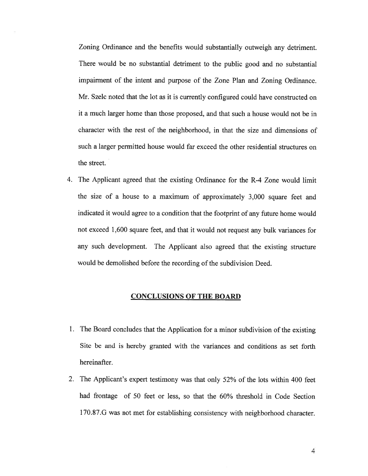Zoning Ordinance and the benefits would substantially outweigh any detriment. There would be no substantial detriment to the public good and no substantial impairment of the intent and purpose of the Zone Plan and Zoning Ordinance. Mr. Szelc noted that the lot as it is currently configured could have constructed on it <sup>a</sup> much larger home than those proposed, and that such <sup>a</sup> house would not be in character with the rest of the neighborhood, in that the size and dimensions of such <sup>a</sup> larger permitted house would far exceed the other residential structures on the street.

4. The Applicant agreed that the existing Ordinance for the R-4 Zone would limit the size of <sup>a</sup> house to <sup>a</sup> maximum of approximately 3,000 square feet and indicated it would agree to <sup>a</sup> condition that the footprint of any future home would not exceed 1,600 square feet, and that it would not reques<sup>t</sup> any bulk variances for any such development. The Applicant also agree<sup>d</sup> that the existing structure would be demolished before the recording of the subdivision Deed.

#### CONCLUSIONS OF THE BOARD

- 1. The Board concludes that the Application for <sup>a</sup> minor subdivision of the existing Site be and is hereby granted with the variances and conditions as set forth hereinafter.
- 2. The Applicant's exper<sup>t</sup> testimony was that only 52% of the lots within <sup>400</sup> feet had frontage of 50 feet or less, so that the 60% threshold in Code Section <sup>1</sup> 70.87.G was not met for establishing consistency with neighborhood character.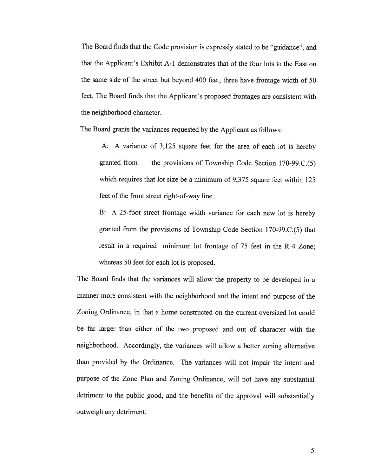The Board finds that the Code provision is expressly stated to be "guidance", and that the Applicant's Exhibit A-i demonstrates that of the four lots to the East on the same side of the street but beyond <sup>400</sup> feet, three have frontage width of <sup>50</sup> feet. The Board finds that the Applicant's proposed frontages are consistent with the neighborhood character.

The Board grants the variances requested by the Applicant as follows:

A: <sup>A</sup> variance of 3,125 square feet for the area of each lot is hereby granted from the provisions of Township Code Section 170-99.C.(5) which requires that lot size be a minimum of 9,375 square feet within 125 feet of the front street right-of-way line.

B: <sup>A</sup> 25-foot street frontage width variance for each new lot is hereby granted from the provisions of Township Code Section 170-99.C.(5) that result in <sup>a</sup> required minimum lot frontage of 75 feet in the R-4 Zone; whereas 50 feet for each lot is proposed.

The Board finds that the variances will allow the property to be developed in <sup>a</sup> manner more consistent with the neighborhood and the intent and purpose of the Zoning Ordinance, in that <sup>a</sup> home constructed on the current oversized lot could be far larger than either of the two proposed and out of character with the neighborhood. Accordingly, the variances will allow <sup>a</sup> better zoning alternative than provided by the Ordinance. The variances will not impair the intent and purpose of the Zone Plan and Zoning Ordinance, will not have any substantial detriment to the public good, and the benefits of the approva<sup>l</sup> will substantially outweigh any detriment.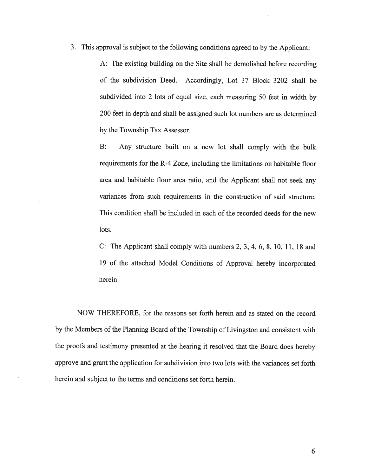3. This approva<sup>l</sup> is subject to the following conditions agreed to by the Applicant:

A: The existing building on the Site shall be demolished before recording of the subdivision Deed. Accordingly, Lot 37 Block 3202 shall be subdivided into <sup>2</sup> lots of equa<sup>l</sup> size, each measuring <sup>50</sup> feet in width by 200 feet in depth and shall be assigned such lot numbers are as determined by the Township Tax Assessor.

B: Any structure built on <sup>a</sup> new lot shall comply with the bulk requirements for the R-4 Zone, including the limitations on habitable floor area and habitable floor area ratio, and the Applicant shall not seek any variances from such requirements in the construction of said structure. This condition shall be included in each of the recorded deeds for the new lots.

C: The Applicant shall comply with numbers 2, 3, 4, 6, 8, 10, 11, 18 and 19 of the attached Model Conditions of Approval hereby incorporated herein.

NOW THEREFORE, for the reasons set forth herein and as stated on the record by the Members of the Planning Board of the Township of Livingston and consistent with the proofs and testimony presented at the hearing it resolved that the Board does hereby approve and gran<sup>t</sup> the application for subdivision into two lots with the variances set forth herein and subject to the terms and conditions set forth herein.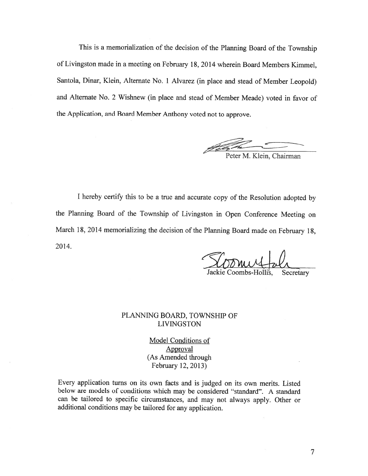This is <sup>a</sup> memorialization of the decision of the Planning Board of the Township of Livingston made in <sup>a</sup> meeting on February 18, <sup>2014</sup> wherein Board Members Kimmel, Santola, Dinar, Klein, Alternate No. <sup>1</sup> Alvarez (in <sup>p</sup>lace and stead of Member Leopold) and Alternate No. <sup>2</sup> Wishnew (in <sup>p</sup>lace and stead of Member Meade) voted in favor of the Application, and Board Member Anthony voted not to approve.

Peter M. Klein, Chairman

<sup>I</sup> hereby certify this to be <sup>a</sup> true and accurate copy of the Resolution adopted by the Planning Board of the Township of Livingston in Open Conference Meeting on March 18, <sup>2014</sup> memorializing the decision of the Planning Board made on February 18, 2014.

ackie Coombs-Hollis, Secretary

### PLANNING BOARD, TOWNSHIP OF LIVINGSTON

Model Conditions of Approval (As Amended through February 12, 2013)

Every application turns on its own facts and is judged on its own merits. Listed below are models of conditions which may be considered "standard". <sup>A</sup> standard can be tailored to specific circumstances, and may not always apply. Other or additional conditions may be tailored for any application.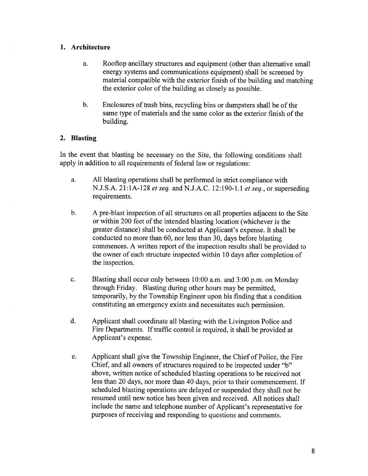### 1. Architecture

- a. Rooftop ancillary structures and equipment (other than alternative small energy systems and communications equipment) shall be screened by material compatible with the exterior finish of the building and matching the exterior color of the building as closely as possible.
- b. Enclosures of trash bins, recycling bins or dumpsters shall be of the same type of materials and the same color as the exterior finish of the building.

### 2. Blasting

In the event that blasting be necessary on the Site, the following conditions shall apply in addition to all requirements of federal law or regulations:

- a. All blasting operations shall be performed in strict compliance with N.J.S.A. 21:1A-128 *et seq.* and N.J.A.C. 12:190-1.1 *et seq.*, or superseding requirements.
- b. <sup>A</sup> pre-blast inspection of all structures on all properties adjacent to the Site or within 200 feet of the intended blasting location (whichever is the greater distance) shall be conducted at Applicant's expense. It shall be conducted no more than 60, nor less than 30, days before blasting commences. A written report of the inspection results shall be provided to the owner of each structure inspected within 10 days after completion of the inspection.
- c. Blasting shall occur only between 10:00 a.m. and 3:00 p.m. on Monday through Friday. Blasting during other hours may be permitted, temporarily, by the Township Engineer upon his finding that <sup>a</sup> condition constituting an emergency exists and necessitates such permission.
- d. Applicant shall coordinate all blasting with the Livingston Police and Fire Departments. If traffic control is required, it shall be provided at Applicant's expense.
- e. Applicant shall give the Township Engineer, the Chief of Police, the Fire Chief, and all owners of structures required to be inspected under "b" above, written notice of scheduled blasting operations to be received not less than 20 days, nor more than 40 days, prior to their commencement. If scheduled blasting operations are delayed or suspended they shall not be resumed until new notice has been <sup>g</sup>iven and received. All notices shall include the name and telephone number of Applicant's representative for purposes of receiving and responding to questions and comments.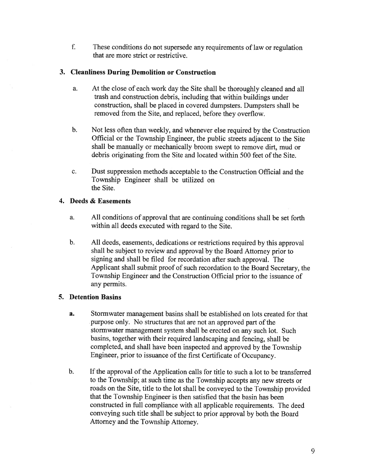f. These conditions do not supersede any requirements of law or regulation that are more strict or restrictive.

# 3. Cleanliness During Demolition or Construction

- a. At the close of each work day the Site shall be thoroughly cleaned and all trash and construction debris, including that within buildings under construction, shall be <sup>p</sup>laced in covered dumpsters. Dumpsters shall be removed from the Site, and replaced, before they overflow.
- b. Not less often than weekly, and whenever else required by the Construction Official or the Township Engineer, the public streets adjacent to the Site shall be manually or mechanically broom swep<sup>t</sup> to remove dirt, mud or debris originating from the Site and located within 500 feet of the Site.
- c. Dust suppression methods acceptable to the Construction Official and the Township Engineer shall be utilized on the Site.

## 4. Deeds & Easements

- a. All conditions of approval that are continuing conditions shall be set forth within all deeds executed with regard to the Site.
- b. All deeds, easements, dedications or restrictions required by this approva<sup>l</sup> shall be subject to review and approva<sup>l</sup> by the Board Attorney prior to signing and shall be filed for recordation after such approval. The Applicant shall submit proo<sup>f</sup> of such recordation to the Board Secretary, the Township Engineer and the Construction Official prior to the issuance of any permits.

# 5. Detention Basins

- a. Stormwater managemen<sup>t</sup> basins shall be established on lots created for that purpose only. No structures that are not an approved part of the stormwater managemen<sup>t</sup> system shall be erected on any such lot. Such basins, together with their required landscaping and fencing, shall be completed, and shall have been inspected and approve<sup>d</sup> by the Township Engineer, prior to issuance of the first Certificate of Occupancy.
- b. If the approval of the Application calls for title to such <sup>a</sup> lot to be transferred to the Township; at such time as the Township accepts any new streets or roads on the Site, title to the lot shall be conveye<sup>d</sup> to the Township provided that the Township Engineer is then satisfied that the basin has been constructed in full compliance with all applicable requirements. The deed conveying such title shall be subject to prior approva<sup>l</sup> by both the Board Attorney and the Township Attorney.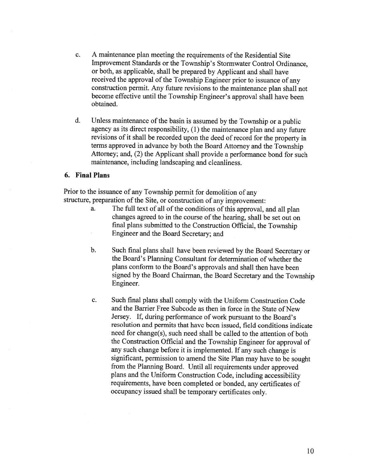- c. A maintenance plan meeting the requirements of the Residential Site Improvement Standards or the Township's Stormwater Control Ordinance, or both, as applicable, shall be prepared by Applicant and shall have received the approval of the Township Engineer prior to issuance of any construction permit. Any future revisions to the maintenance <sup>p</sup>lan shall not become effective until the Township Engineer's approval shall have been obtained.
- d. Unless maintenance of the basin is assumed by the Township or <sup>a</sup> public agency as its direct responsibility, (1) the maintenance <sup>p</sup>lan and any future revisions of it shall be recorded upon the deed of record for the property in terms approved in advance by both the Board Attorney and the Township Attorney; and, (2) the Applicant shall provide <sup>a</sup> performance bond for such maintenance, including landscaping and cleanliness.

#### 6. Final Plans

Prior to the issuance of any Township permit for demolition of any structure, preparation of the Site, or construction of any improvement:

- a. The full text of all of the conditions of this approval, and all plan changes agreed to in the course of the hearing, shall be set out on final <sup>p</sup>lans submitted to the Construction Official, the Township Engineer and the Board Secretary; and
- b. Such final <sup>p</sup>lans shall have been reviewed by the Board Secretary or the Board's Planning Consultant for determination of whether the <sup>p</sup>lans conform to the Board's approvals and shall then have been signed by the Board Chairman, the Board Secretary and the Township Engineer.
- c. Such final plans shall comply with the Uniform Construction Code and the Barrier Free Subcode as then in force in the State of New Jersey. If, during performance of work pursuant to the Board's resolution and permits that have been issued, field conditions indicate need for change(s), such need shall be called to the attention of both the Construction Official and the Township Engineer for approval of any such change before it is implemented. If any such change is significant, permission to amend the Site Plan may have to be sought from the Planning Board. Until all requirements under approved <sup>p</sup>lans and the Uniform Construction Code, including accessibility requirements, have been completed or bonded, any certificates of occupancy issued shall be temporary certificates only.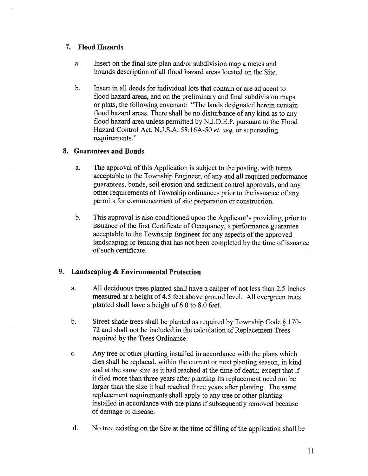### 7. Flood Hazards

- a. Insert on the final site plan and/or subdivision map <sup>a</sup> metes and bounds description of all flood hazard areas located on the Site.
- b. Insert in all deeds for individual lots that contain or are adjacent to flood hazard areas, and on the preliminary and final subdivision maps or plats, the following covenant: "The lands designated herein contain flood hazard areas. There shall be no disturbance of any kind as to any flood hazard area unless permitted by N.J.D.E.P. pursuan<sup>t</sup> to the Flood Hazard Control Act, N.J.S.A. 58:16A-50 et. seq. or superseding requirements."

### 8. Guarantees and Bonds

- a. The approval of this Application is subject to the posting, with terms acceptable to the Township Engineer, of any and all required performance guarantees, bonds, soil erosion and sediment control approvals, and any other requirements of Township ordinances prior to the issuance of any permits for commencement of site preparation or construction.
- b. This approva<sup>l</sup> is also conditioned upon the Applicant's providing, prior to issuance of the first Certificate of Occupancy, <sup>a</sup> performance guarantee acceptable to the Township Engineer for any aspects of the approve<sup>d</sup> landscaping or fencing that has not been completed by the time of issuance of such certificate.

# 9. Landscaping & Environmental Protection

- a. All deciduous trees <sup>p</sup>lanted shall have <sup>a</sup> caliper of not less than 2.5 inches measured at <sup>a</sup> height of 4.5 feet above ground level. All evergreen trees planted shall have <sup>a</sup> height of 6.0 to 8.0 feet.
- b. Street shade trees shall be planted as required by Township Code § 170-<br>72 and shall not be included in the calculation of Replacement Trees required by the Trees Ordinance.
- c. Any tree or other <sup>p</sup>lanting installed in accordance with the <sup>p</sup>lans which dies shall be replaced, within the current or next planting season, in kind and at the same size as it had reached at the time of death; excep<sup>t</sup> that if it died more than three years after <sup>p</sup>lanting its replacement need not be larger than the size it had reached three years after <sup>p</sup>lanting. The same replacement requirements shall apply to any tree or other <sup>p</sup>lanting installed in accordance with the <sup>p</sup>lans if subsequently removed because of damage or disease.
- d. No tree existing on the Site at the time of filing of the application shall be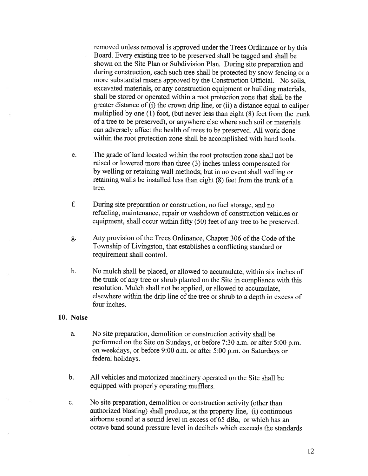removed unless removal is approve<sup>d</sup> under the Trees Ordinance or by this Board. Every existing tree to be preserve<sup>d</sup> shall be tagged and shall be shown on the Site Plan or Subdivision Plan. During site preparation and during construction, each such tree shall be protected by snow fencing or <sup>a</sup> more substantial means approved by the Construction Official. No soils, excavated materials, or any construction equipment or building materials, shall be stored or operated within <sup>a</sup> root protection zone that shall be the greater distance of (i) the crown drip line, or (ii) <sup>a</sup> distance equa<sup>l</sup> to caliper multiplied by one (1) foot, (but never less than eight (8) feet from the trunk of <sup>a</sup> tree to be preserved), or anywhere else where such soil or materials can adversely affect the health of trees to be preserved. All work done within the root protection zone shall be accomplished with hand tools.

- e. The grade of land located within the root protection zone shall not be raised or lowered more than three (3) inches unless compensated for by welling or retaining wall methods; but in no event shall welling or retaining walls be installed less than eight (8) feet from the trunk of <sup>a</sup> tree.
- f. During site preparation or construction, no fuel storage, and no refueling, maintenance, repair or washdown of construction vehicles or equipment, shall occur within fifty (50) feet of any tree to be preserved.
- g. Any provision of the Trees Ordinance, Chapter 306 of the Code of the Township of Livingston, that establishes <sup>a</sup> conflicting standard or requirement shall control.
- h. No mulch shall be placed, or allowed to accumulate, within six inches of the trunk of any tree or shrub <sup>p</sup>lanted on the Site in compliance with this resolution. Mulch shall not be applied, or allowed to accumulate, elsewhere within the drip line of the tree or shrub to a depth in excess of four inches.

#### 10. Noise

- a. No site preparation, demolition or construction activity shall be performed on the Site on Sundays, or before 7:30 a.m. or after 5:00 p.m. on weekdays, or before 9:00 a.m. or after 5:00 p.m. on Saturdays or federal holidays.
- b. All vehicles and motorized machinery operated on the Site shall be equipped with properly operating mufflers.
- c. No site preparation, demolition or construction activity (other than authorized blasting) shall produce, at the property line, (i) continuous airborne sound at <sup>a</sup> sound level in excess of 65 dBa, or which has an octave band sound pressure level in decibels which exceeds the standards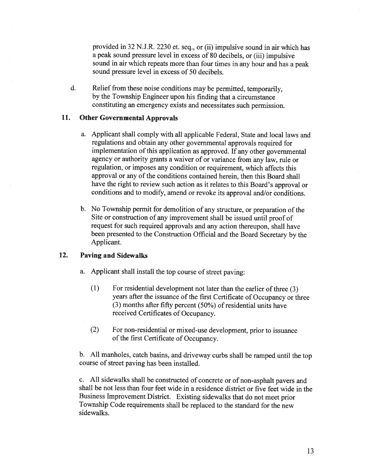provided in 32 N.J.R. 2230 et. seq., or (ii) impulsive sound in air which has <sup>a</sup> peak sound pressure level in excess of <sup>80</sup> decibels, or (iii) impulsive sound in air which repeats more than four times in any hour and has <sup>a</sup> peak sound pressure level in excess of 50 decibels.

d. Relief from these noise conditions may be permitted, temporarily, by the Township Engineer upon his finding that <sup>a</sup> circumstance constituting an emergency exists and necessitates such permission.

#### 11. Other Governmental Approvals

- a. Applicant shall comply with all applicable Federal, State and local laws and regulations and obtain any other governmental approvals required for implementation of this application as approved. If any other governmental agency or authority grants <sup>a</sup> waiver of or variance from any law, rule or regulation, or imposes any condition or requirement, which affects this approval or any of the conditions contained herein, then this Board shall have the right to review such action as it relates to this Board's approval or conditions and to modify, amend or revoke its approval and/or conditions.
- b. No Township permit for demolition of any structure, or preparation of the Site or construction of any improvement shall be issued until proof of request for such required approvals and any action thereupon, shall have been presented to the Construction Official and the Board Secretary by the Applicant.

### 12. Paving and Sidewalks

- a. Applicant shall install the top course of street paving:
	- (1) For residential development not later than the earlier of three (3) years after the issuance of the first Certificate of Occupancy or three (3) months after fifty percent (50%) of residential units have received Certificates of Occupancy.
	- (2) For non-residential or mixed-use development, prior to issuance of the first Certificate of Occupancy.

b. All manholes, catch basins, and driveway curbs shall be ramped until the top course of street paving has been installed.

c. All sidewalks shall be constructed of concrete or of non-asphalt payers and shall be not less than four feet wide in <sup>a</sup> residence district or five feet wide in the Business Improvement District. Existing sidewalks that do not meet prior Township Code requirements shall be replaced to the standard for the new sidewalks.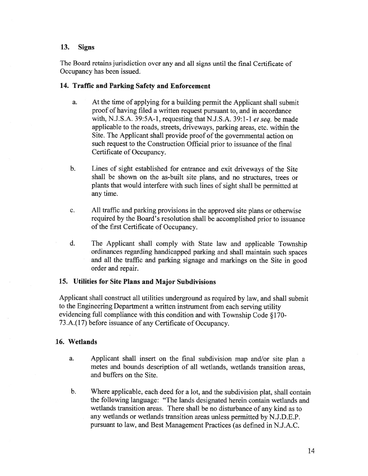#### 13. Signs

The Board retains jurisdiction over any and all signs until the final Certificate of Occupancy has been issued.

### 14. Traffic and Parking Safety and Enforcement

- a. At the time of applying for <sup>a</sup> building permit the Applicant shall submit proof of having filed <sup>a</sup> written reques<sup>t</sup> pursuan<sup>t</sup> to, and in accordance with, N.J.S.A. 39:5A-1, requesting that N.J.S.A. 39:1-1 et seq. be made applicable to the roads, streets, driveways, parking areas, etc. within the Site. The Applicant shall provide proof of the governmental action on such reques<sup>t</sup> to the Construction Official prior to issuance of the final Certificate of Occupancy.
- b. Lines of sight established for entrance and exit driveways of the Site shall be shown on the as-built site plans, and no structures, trees or <sup>p</sup>lants that would interfere with such lines of sight shall be permitted at any time.
- c. All traffic and parking provisions in the approved site <sup>p</sup>lans or otherwise required by the Board's resolution shall be accomplished prior to issuance of the first Certificate of Occupancy.
- d. The Applicant shall comply with State law and applicable Township ordinances regarding handicapped parking and shall maintain such spaces and all the traffic and parking signage and markings on the Site in goo<sup>d</sup> order and repair.

### 15. Utilities for Site Plans and Major Subdivisions

Applicant shall construct all utilities underground as required by law, and shall submit to the Engineering Department <sup>a</sup> written instrument from each serving utility evidencing full compliance with this condition and with Township Code § 170- <sup>73</sup> .A.( 17) before issuance of any Certificate of Occupancy.

### 16. Wetlands

- a. Applicant shall insert on the final subdivision map and/or site <sup>p</sup>lan <sup>a</sup> metes and bounds description of all wetlands, wetlands transition areas, and buffers on the Site.
- b. Where applicable, each deed for <sup>a</sup> lot, and the subdivision <sup>p</sup>lat, shall contain the following language: "The lands designated herein contain wetlands and wetlands transition areas. There shall be no disturbance of any kind as to any wetlands or wetlands transition areas unless permitted by N.J.D.E.P. pursuan<sup>t</sup> to law, and Best Management Practices (as defined in N.J.A.C.